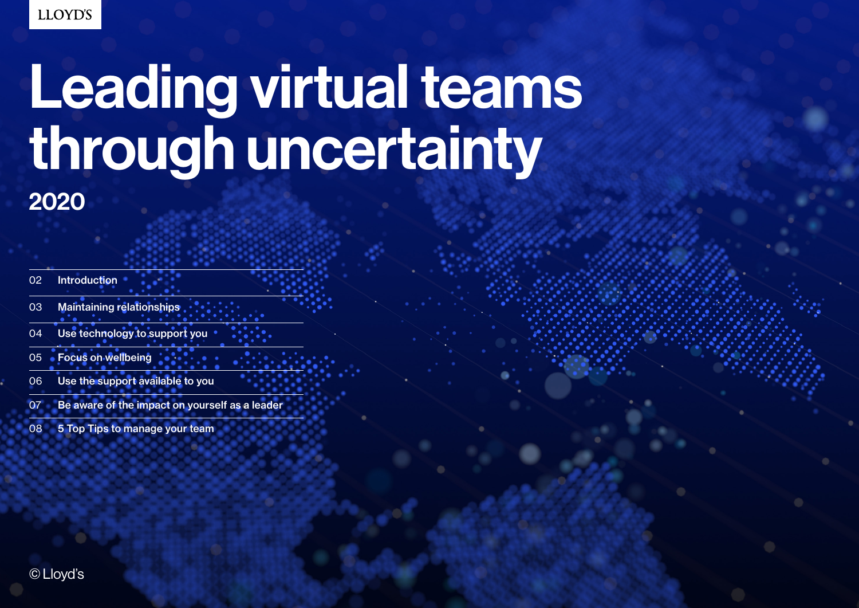# Leading virtual teams through uncertainty

| 02 | Introduction |
|----|--------------|
|    |              |

- 03 Maintaining relationships
- 04 Use technology to support you
- 05 Focus on wellbeing
- 06 Use the support available to you
- 07 Be aware of the impact on yourself as a leader
- 08 5 Top Tips to manage your team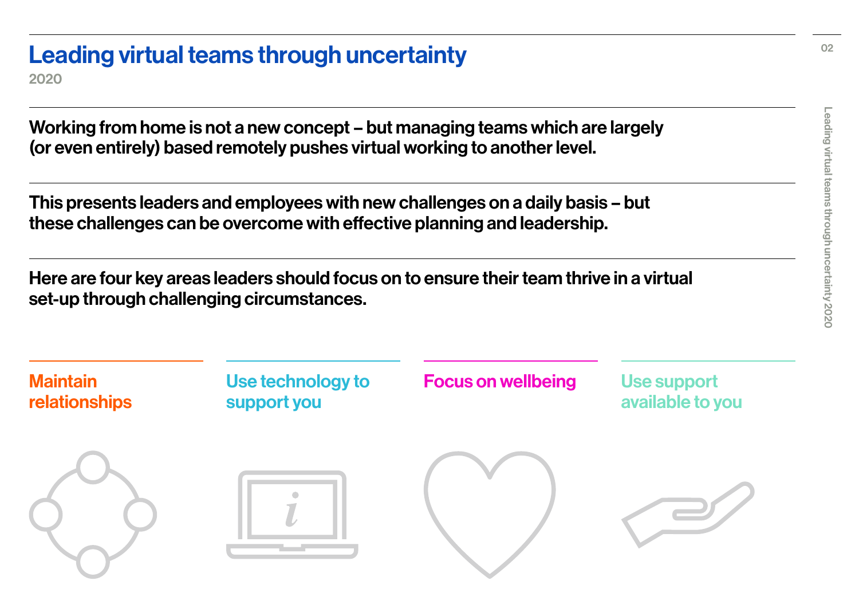## Leading virtual teams through uncertainty

2020

Working from home is not a new concept – but managing teams which are largely (or even entirely) based remotely pushes virtual working to another level.

This presents leaders and employees with new challenges on a daily basis – but these challenges can be overcome with effective planning and leadership.

Here are four key areas leaders should focus on to ensure their team thrive in a virtual set-up through challenging circumstances.

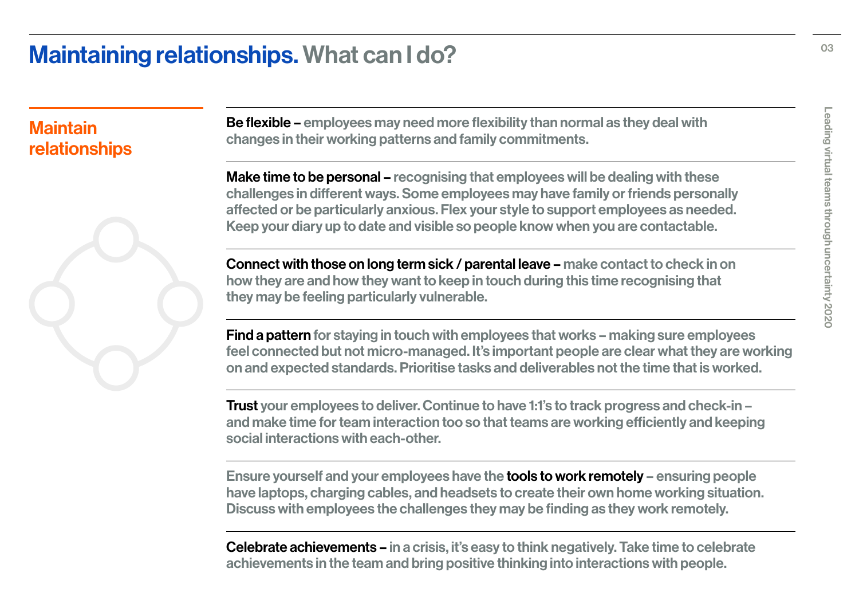### Maintaining relationships. What can I do?

#### **Maintain** relationships



Be flexible – employees may need more flexibility than normal as they deal with changes in their working patterns and family commitments.

Make time to be personal – recognising that employees will be dealing with these challenges in different ways. Some employees may have family or friends personally affected or be particularly anxious. Flex your style to support employees as needed. Keep your diary up to date and visible so people know when you are contactable.

Connect with those on long term sick / parental leave – make contact to check in on how they are and how they want to keep in touch during this time recognising that they may be feeling particularly vulnerable.

Find a pattern for staying in touch with employees that works – making sure employees feel connected but not micro-managed. It's important people are clear what they are working on and expected standards. Prioritise tasks and deliverables not the time that is worked.

Trust your employees to deliver. Continue to have 1:1's to track progress and check-in – and make time for team interaction too so that teams are working efficiently and keeping social interactions with each-other.

Ensure yourself and your employees have the tools to work remotely – ensuring people have laptops, charging cables, and headsets to create their own home working situation. Discuss with employees the challenges they may be finding as they work remotely.

Celebrate achievements – in a crisis, it's easy to think negatively. Take time to celebrate achievements in the team and bring positive thinking into interactions with people.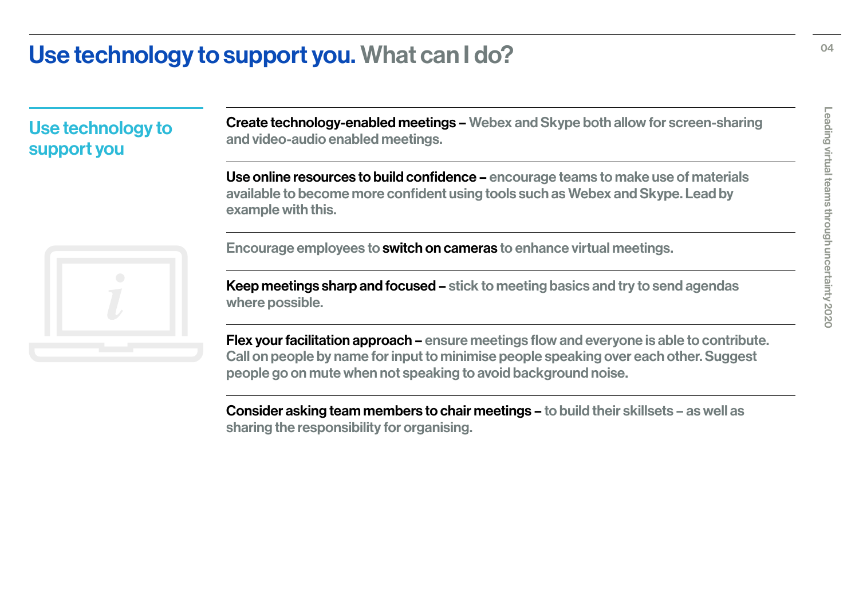### Use technology to support you. What can I do?

Use technology to support you

Create technology-enabled meetings – Webex and Skype both allow for screen-sharing and video-audio enabled meetings.

Use online resources to build confidence – encourage teams to make use of materials available to become more confident using tools such as Webex and Skype. Lead by example with this.

Encourage employees to switch on cameras to enhance virtual meetings.

Keep meetings sharp and focused – stick to meeting basics and try to send agendas where possible.

Flex your facilitation approach – ensure meetings flow and everyone is able to contribute. Call on people by name for input to minimise people speaking over each other. Suggest people go on mute when not speaking to avoid background noise.

Consider asking team members to chair meetings – to build their skillsets – as well as sharing the responsibility for organising.

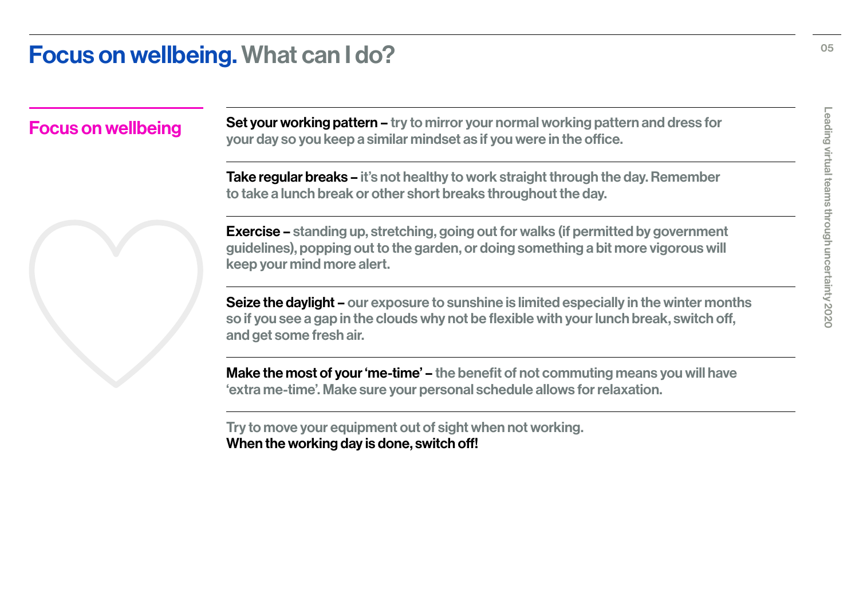#### Focus on wellbeing. What can I do?

Focus on wellbeing Set your working pattern – try to mirror your normal working pattern and dress for your day so you keep a similar mindset as if you were in the office.

> Take regular breaks – it's not healthy to work straight through the day. Remember to take a lunch break or other short breaks throughout the day.

Exercise – standing up, stretching, going out for walks (if permitted by government guidelines), popping out to the garden, or doing something a bit more vigorous will keep your mind more alert.

Seize the daylight – our exposure to sunshine is limited especially in the winter months so if you see a gap in the clouds why not be flexible with your lunch break, switch off, and get some fresh air.

Make the most of your 'me-time' – the benefit of not commuting means you will have 'extra me-time'. Make sure your personal schedule allows for relaxation.

Try to move your equipment out of sight when not working. When the working day is done, switch off!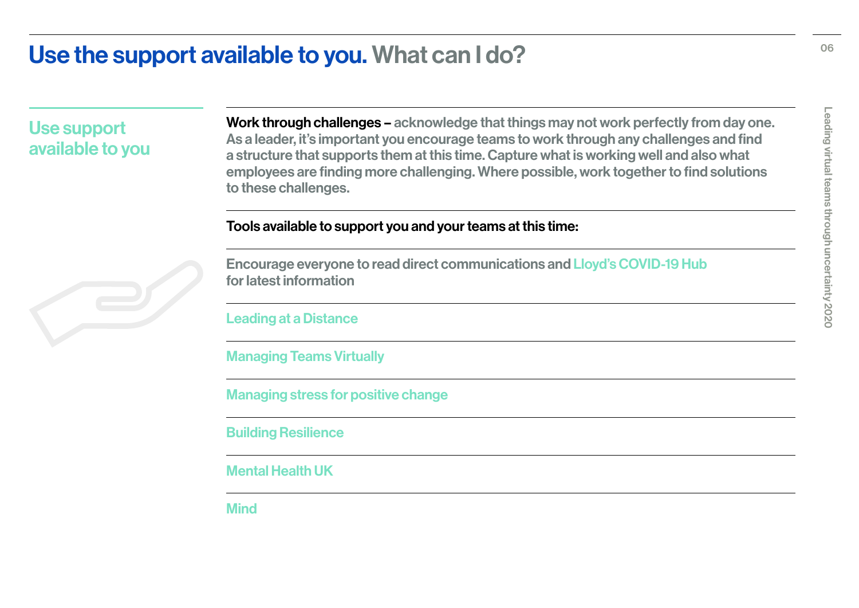#### Use the support available to you. What can I do?

Use support available to you Work through challenges – acknowledge that things may not work perfectly from day one. As a leader, it's important you encourage teams to work through any challenges and find a structure that supports them at this time. Capture what is working well and also what employees are finding more challenging. Where possible, work together to find solutions to these challenges.

#### Tools available to support you and your teams at this time:

[Encourage everyone to read direct communications and Lloyd's COVID-19 Hub](https://www.lloyds.com/news-and-risk-insight/media-centre/coronavirus-updates-hub) [for latest information](https://www.lloyds.com/news-and-risk-insight/media-centre/coronavirus-updates-hub) 

[Leading at a Distance](https://www.linkedin.com/learning/leading-at-a-distance/remote-workers-are-the-future-of-business?trk=lilblog_03-11-20_new-to-working-remotely-resources_learning) 

[Managing Teams Virtually](https://www.linkedin.com/learning/managing-virtual-teams-4/managing-people-at-a-distance?trk=lilblog_03-11-20_new-to-working-remotely-resources_learning) 

[Managing stress for positive change](https://www.linkedin.com/learning/managing-stress-for-positive-change/welcome?trk=lilblog_03-11-20_new-to-working-remotely-resources_learning)

[Building Resilience](https://www.linkedin.com/learning/building-resilience/what-why-and-how-to-become-resilient?trk=lilblog_03-11-20_new-to-working-remotely-resources_learning)

[Mental Health UK](https://mentalhealth-uk.org)

**[Mind](https://www.mind.org.uk/coronavirus-we-are-here-for-you/)**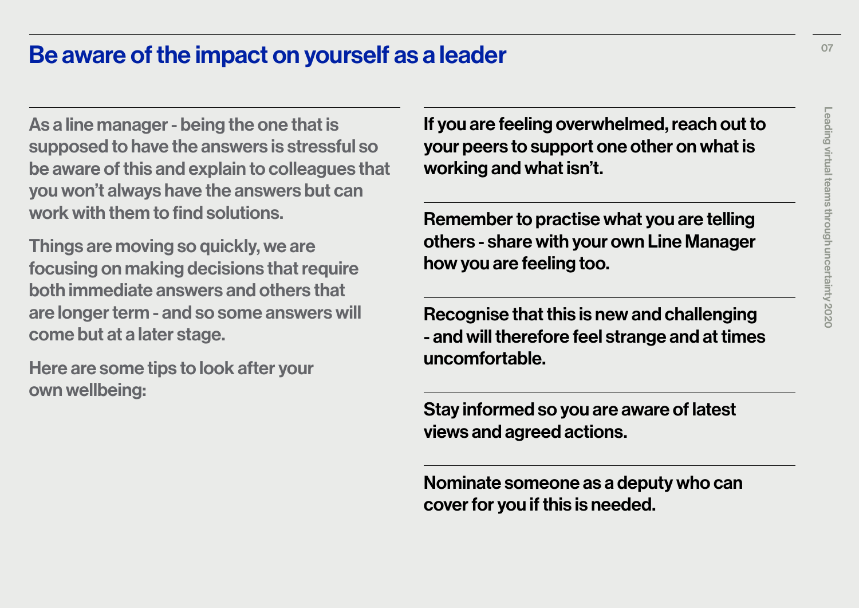#### Be aware of the impact on yourself as a leader

As a line manager - being the one that is supposed to have the answers is stressful so be aware of this and explain to colleagues that you won't always have the answers but can work with them to find solutions.

Things are moving so quickly, we are focusing on making decisions that require both immediate answers and others that are longer term - and so some answers will come but at a later stage.

Here are some tips to look after your own wellbeing:

If you are feeling overwhelmed, reach out to your peers to support one other on what is working and what isn't.

Remember to practise what you are telling others - share with your own Line Manager how you are feeling too.

Recognise that this is new and challenging - and will therefore feel strange and at times uncomfortable.

Stay informed so you are aware of latest views and agreed actions.

Nominate someone as a deputy who can cover for you if this is needed.